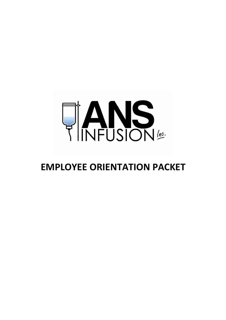

# **EMPLOYEE ORIENTATION PACKET**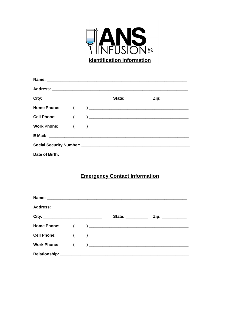

## **Emergency Contact Information**

|  | State: __________ | $\mathsf{Zip:}\ \_\_\_\_\_\_\_\_\_\$ |  |
|--|-------------------|--------------------------------------|--|
|  |                   |                                      |  |
|  |                   |                                      |  |
|  |                   |                                      |  |
|  |                   |                                      |  |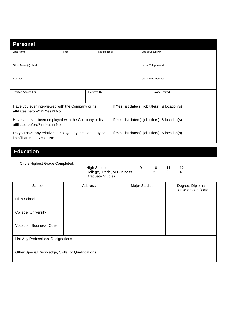| <b>Personal</b>                                                                                |       |                                                   |  |                                                      |                       |
|------------------------------------------------------------------------------------------------|-------|---------------------------------------------------|--|------------------------------------------------------|-----------------------|
| Last Name                                                                                      | First | Middle Initial                                    |  |                                                      | Social Security #     |
| Other Name(s) Used                                                                             |       |                                                   |  |                                                      | Home Telephone #      |
| Address                                                                                        |       |                                                   |  |                                                      | Cell Phone Number #   |
| Position Applied For                                                                           |       | Referred By                                       |  |                                                      | <b>Salary Desired</b> |
| Have you ever interviewed with the Company or its<br>affiliates before? □ Yes □ No             |       |                                                   |  | If Yes, list date(s), job title(s), & location(s)    |                       |
| Have you ever been employed with the Company or its<br>affiliates before? $\Box$ Yes $\Box$ No |       | If Yes, list date(s), job title(s), & location(s) |  |                                                      |                       |
| Do you have any relatives employed by the Company or<br>its affiliates? $\Box$ Yes $\Box$ No   |       |                                                   |  | If Yes, list date(s), job title(s), $\&$ location(s) |                       |

## **Education**

Circle Highest Grade Completed:

| High School                       | 10. |  |
|-----------------------------------|-----|--|
| College, Trade, or Business 1 2 3 |     |  |
| <b>Graduate Studies</b>           |     |  |

| School                                             | Address | <b>Major Studies</b> | Degree, Diploma<br>License or Certificate |
|----------------------------------------------------|---------|----------------------|-------------------------------------------|
| <b>High School</b>                                 |         |                      |                                           |
| College, University                                |         |                      |                                           |
| Vocation, Business, Other                          |         |                      |                                           |
| List Any Professional Designations                 |         |                      |                                           |
| Other Special Knowledge, Skills, or Qualifications |         |                      |                                           |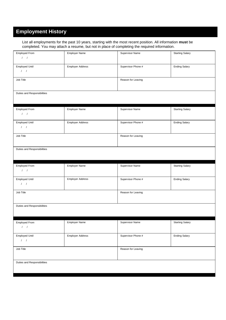## **Employment History**

List all employments for the past 10 years, starting with the most recent position. All information **must** be completed. You may attach a resume, but not in place of completing the required information.

| Employed From<br>1 <sup>1</sup>            | <b>Employer Name</b>    | Supervisor Name    | <b>Starting Salary</b> |
|--------------------------------------------|-------------------------|--------------------|------------------------|
| Employed Until<br>$1 - 1$                  | Employer Address        | Supervisor Phone # | <b>Ending Salary</b>   |
| Job Title                                  |                         | Reason for Leaving |                        |
| Duties and Responsibilities                |                         |                    |                        |
| Employed From<br>$1 - 1$                   | <b>Employer Name</b>    | Supervisor Name    | <b>Starting Salary</b> |
| Employed Until<br>$1-1$                    | <b>Employer Address</b> | Supervisor Phone # | <b>Ending Salary</b>   |
| Job Title                                  |                         | Reason for Leaving |                        |
| Duties and Responsibilities                |                         |                    |                        |
| Employed From<br>$1 \quad 1$               | <b>Employer Name</b>    | Supervisor Name    | <b>Starting Salary</b> |
| Employed Until<br>$\sqrt{2}$               | <b>Employer Address</b> | Supervisor Phone # | <b>Ending Salary</b>   |
| Job Title                                  |                         | Reason for Leaving |                        |
| Duties and Responsibilities                |                         |                    |                        |
| Employed From<br>1                         | Employer Name           | Supervisor Name    | <b>Starting Salary</b> |
| <b>Employed Until</b><br>$\cal I - \cal I$ | <b>Employer Address</b> | Supervisor Phone # | <b>Ending Salary</b>   |
| Job Title                                  |                         | Reason for Leaving |                        |
| Duties and Responsibilities                |                         |                    |                        |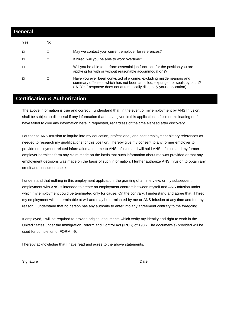| <b>General</b> |        |                                                                                                                                                                                                                           |  |  |
|----------------|--------|---------------------------------------------------------------------------------------------------------------------------------------------------------------------------------------------------------------------------|--|--|
| Yes            | No     |                                                                                                                                                                                                                           |  |  |
| □              | □      | May we contact your current employer for references?                                                                                                                                                                      |  |  |
| □              | □      | If hired, will you be able to work overtime?                                                                                                                                                                              |  |  |
|                | $\Box$ | Will you be able to perform essential job functions for the position you are<br>applying for with or without reasonable accommodations?                                                                                   |  |  |
| □              | □      | Have you ever been convicted of a crime, excluding misdemeanors and<br>summary offenses, which has not been annulled, expunged or seals by court?<br>A "Yes" response does not automatically disqualify your application) |  |  |

## **Certification & Authorization**

The above information is true and correct. I understand that, in the event of my employment by ANS Infusion, I shall be subject to dismissal if any information that I have given in this application is false or misleading or if I have failed to give any information here in requested, regardless of the time elapsed after discovery.

I authorize ANS Infusion to inquire into my education, professional, and past employment history references as needed to research my qualifications for this position. I hereby give my consent to any former employer to provide employment-related information about me to ANS Infusion and will hold ANS Infusion and my former employer harmless form any claim made on the basis that such information about me was provided or that any employment decisions was made on the basis of such information. I further authorize ANS Infusion to obtain any credit and consumer check.

I understand that nothing in this employment application, the granting of an interview, or my subsequent employment with ANS is intended to create an employment contract between myself and ANS Infusion under which my employment could be terminated only for cause. On the contrary, I understand and agree that, if hired; my employment will be terminable at will and may be terminated by me or ANS Infusion at any time and for any reason. I understand that no person has any authority to enter into any agreement contrary to the foregoing.

If employed, I will be required to provide original documents which verify my identity and right to work in the United States under the Immigration Reform and Control Act (IRCS) of 1986. The document(s) provided will be used for completion of FORM I-9.

\_\_\_\_\_\_\_\_\_\_\_\_\_\_\_\_\_\_\_\_\_\_\_\_\_\_\_\_\_\_\_\_\_\_\_\_\_\_\_\_\_\_ \_\_\_\_\_\_\_\_\_\_\_\_\_\_\_\_\_\_\_\_\_\_\_\_\_\_\_\_\_\_\_\_

I hereby acknowledge that I have read and agree to the above statements.

Signature Date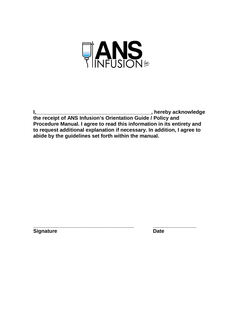

**I,\_\_\_\_\_\_\_\_\_\_\_\_\_\_\_\_\_\_\_\_\_\_\_\_\_\_\_\_\_\_\_\_\_\_\_\_\_\_\_\_, hereby acknowledge** 

**the receipt of ANS Infusion's Orientation Guide / Policy and Procedure Manual. I agree to read this information in its entirety and to request additional explanation if necessary. In addition, I agree to abide by the guidelines set forth within the manual.** 

**\_\_\_\_\_\_\_\_\_\_\_\_\_\_\_\_\_\_\_\_\_\_\_\_\_\_\_\_\_\_\_\_\_\_\_ \_\_\_\_\_\_\_\_\_\_\_\_\_\_\_** 

**Signature Date Contract Contract Contract Contract Contract Contract Contract Contract Contract Contract Contract Contract Contract Contract Contract Contract Contract Contract Contract Contract Contract Contract Contract**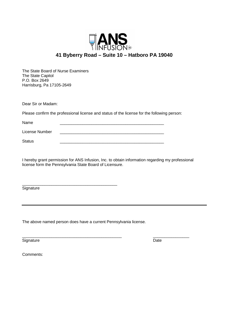

The State Board of Nurse Examiners The State Capitol P.O. Box 2649 Harrisburg, Pa 17105-2649

Dear Sir or Madam:

Please confirm the professional license and status of the license for the following person:

Name \_\_\_\_\_\_\_\_\_\_\_\_\_\_\_\_\_\_\_\_\_\_\_\_\_\_\_\_\_\_\_\_\_\_\_\_\_\_\_\_\_\_\_\_\_\_ License Number Status \_\_\_\_\_\_\_\_\_\_\_\_\_\_\_\_\_\_\_\_\_\_\_\_\_\_\_\_\_\_\_\_\_\_\_\_\_\_\_\_\_\_\_\_\_\_

I hereby grant permission for ANS Infusion, Inc. to obtain information regarding my professional license form the Pennsylvania State Board of Licensure.

**Signature** 

The above named person does have a current Pennsylvania license.

\_\_\_\_\_\_\_\_\_\_\_\_\_\_\_\_\_\_\_\_\_\_\_\_\_\_\_\_\_\_\_\_\_\_\_\_\_\_\_\_\_\_

Signature Date Date Contract and Contract and Contract and Contract and Contract and Contract and Contract and Contract and Contract and Contract and Contract and Contract and Contract and Contract and Contract and Contrac

\_\_\_\_\_\_\_\_\_\_\_\_\_\_\_\_\_\_\_\_\_\_\_\_\_\_\_\_\_\_\_\_\_\_\_\_\_\_\_\_\_\_\_\_ \_\_\_\_\_\_\_\_\_\_\_\_\_\_\_\_

Comments: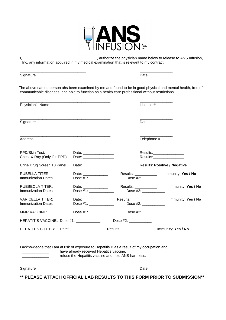

I, \_\_\_\_\_\_\_\_\_\_\_\_\_\_\_\_\_\_\_\_\_\_\_\_\_\_\_\_\_\_\_\_\_\_\_\_, authorize the physician name below to release to ANS Infusion, Inc. any information acquired in my medical examination that is relevant to my contract.

| Signature                                      |                                                 | Date                                                                                                                                                                                           |                                                                                                            |
|------------------------------------------------|-------------------------------------------------|------------------------------------------------------------------------------------------------------------------------------------------------------------------------------------------------|------------------------------------------------------------------------------------------------------------|
|                                                |                                                 | communicable diseases, and able to function as a health care professional without restrictions.                                                                                                | The above named person ahs been examined by me and found to be in good physical and mental health, free of |
| Physician's Name                               |                                                 | License #                                                                                                                                                                                      |                                                                                                            |
| Signature                                      |                                                 | Date                                                                                                                                                                                           |                                                                                                            |
| Address                                        |                                                 |                                                                                                                                                                                                | Telephone #                                                                                                |
| PPD/Skin Test:<br>Chest X-Ray (Only if + PPD)  |                                                 |                                                                                                                                                                                                | Results:__________________<br>Results:________________                                                     |
| Urine Drug Screen 10 Panel                     |                                                 |                                                                                                                                                                                                | <b>Results: Positive / Negative</b>                                                                        |
| <b>RUBELLA TITER:</b><br>Immunization Dates:   | Date: ______________<br>Dose #1: ______________ | Results: ____________<br>Dose #2:                                                                                                                                                              | Immunity: Yes / No                                                                                         |
| <b>RUEBEOLA TITER:</b><br>Immunization Dates:  | Date: _____________<br>Dose #1: _____________   | Results: ___________<br>Dose #2: _____________                                                                                                                                                 | Immunity: Yes / No                                                                                         |
| <b>VARICELLA TITER:</b><br>Immunization Dates: | Date: ______________<br>Dose #1: _____________  | Results: ___________<br>Dose #2: ______________                                                                                                                                                | Immunity: Yes / No                                                                                         |
| <b>MMR VACCINE:</b>                            |                                                 | Dose $#2$ :<br>$\text{Dose } \#1$ :                                                                                                                                                            |                                                                                                            |
|                                                |                                                 | Dose #2: ____________                                                                                                                                                                          |                                                                                                            |
| HEPATITIS B TITER: Date: ____________          |                                                 | Results: ____________                                                                                                                                                                          | Immunity: Yes / No                                                                                         |
|                                                |                                                 | I acknowledge that I am at risk of exposure to Hepatitis B as a result of my occupation and<br>have already received Hepatitis vaccine.<br>refuse the Hepatitis vaccine and hold ANS harmless. |                                                                                                            |

**\*\* PLEASE ATTACH OFFICIAL LAB RESULTS TO THIS FORM PRIOR TO SUBMISSION\*\*** 

\_\_\_\_\_\_\_\_\_\_\_\_\_\_\_\_\_\_\_\_\_\_\_\_\_\_\_\_\_\_\_\_\_\_\_\_\_\_\_\_\_\_\_ \_\_\_\_\_\_\_\_\_\_\_\_\_\_\_

Signature Date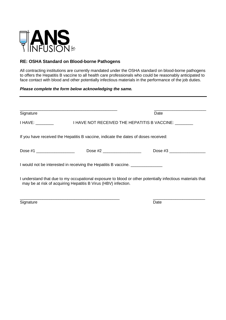

## **RE: OSHA Standard on Blood-borne Pathogens**

All contracting institutions are currently mandated under the OSHA standard on blood-borne pathogens to offers the Hepatitis B vaccine to all health care professionals who could be reasonably anticipated to face contact with blood and other potentially infectious materials in the performance of the job duties.

#### **Please complete the form below acknowledging the same.**

| Signature                                                                           |                            | Date                                                                                                      |
|-------------------------------------------------------------------------------------|----------------------------|-----------------------------------------------------------------------------------------------------------|
| <b>I HAVE:</b> __________                                                           |                            | I HAVE NOT RECEIVED THE HEPATITIS B VACCINE:                                                              |
| If you have received the Hepatitis B vaccine, indicate the dates of doses received: |                            |                                                                                                           |
| Dose #1                                                                             | Dose #2 __________________ | Dose $#3$                                                                                                 |
| I would not be interested in receiving the Hepatitis B vaccine.                     |                            |                                                                                                           |
| may be at risk of acquiring Hepatitis B Virus (HBV) infection.                      |                            | I understand that due to my occupational exposure to blood or other potentially infectious materials that |
| Signature                                                                           |                            | Date                                                                                                      |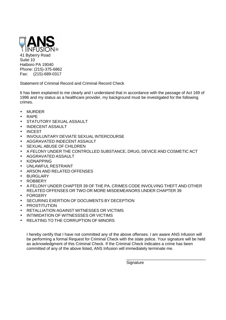

Fax: (215)-689-0317

Statement of Criminal Record and Criminal Record Check

It has been explained to me clearly and I understand that in accordance with the passage of Act 169 of 1996 and my status as a healthcare provider, my background must be investigated for the following crimes.

- MURDER
- RAPE
- STATUTORY SEXUAL ASSAULT
- INDECENT ASSAULT
- **INCEST**
- INVOULUNTARY DEVIATE SEXUAL INTERCOURSE
- AGGRAVATED INDECENT ASSAULT
- SEXUAL ABUSE OF CHILDREN
- A FELONY UNDER THE CONTROLLED SUBSTANCE, DRUG, DEVICE AND COSMETIC ACT
- AGGRAVATED ASSAULT
- KIDNAPPING
- UNLAWFUL RESTRAINT
- ARSON AND RELATED OFFENSES
- **BURGLARY**
- ROBBERY
- A FELONY UNDER CHAPTER 39 OF THE PA. CRIMES CODE INVOLVING THEFT AND OTHER RELATED OFFENSES OR TWO OR MORE MISDEMEANORS UNDER CHAPTER 39
- FORGERY
- SECURING EXERTION OF DOCUMENTS BY DECEPTION
- **PROSTITUTION**
- RETALLIATION AGAINST WITNESSES OR VICTIMS
- INTIMIDATION OF WITNESSSES OR VICTIMS
- RELATING TO THE CORRUPTION OF MINORS

I hereby certify that I have not committed any of the above offenses. I am aware ANS Infusion will be performing a formal Request for Criminal Check with the state police. Your signature will be held as acknowledgment of this Criminal Check. If the Criminal Check indicates a crime has been committed of any of the above listed, ANS Infusion will immediately terminate me.

 $\overline{\phantom{a}}$  , which is a set of the contract of the contract of the contract of the contract of the contract of the contract of the contract of the contract of the contract of the contract of the contract of the contract

**Signature**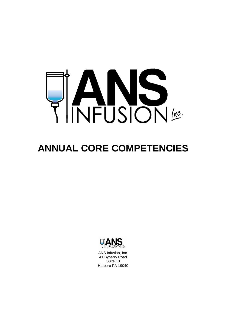

# **ANNUAL CORE COMPETENCIES**



ANS Infusion, Inc. 41 Byberry Road Suite 10 Hatboro PA 19040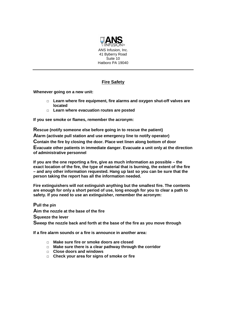

## **Fire Safety**

**Whenever going on a new unit:** 

- □ **Learn where fire equipment, fire alarms and oxygen shut-off valves are located**
- □ **Learn where evacuation routes are posted**

**If you see smoke or flames, remember the acronym:** 

**Rescue (notify someone else before going in to rescue the patient)** 

**Alarm (activate pull station and use emergency line to notify operator)** 

**Contain the fire by closing the door. Place wet linen along bottom of door** 

**Evacuate other patients in immediate danger. Evacuate a unit only at the direction of administrative personnel** 

**If you are the one reporting a fire, give as much information as possible – the exact location of the fire, the type of material that is burning, the extent of the fire – and any other information requested. Hang up last so you can be sure that the person taking the report has all the information needed.** 

**Fire extinguishers will not extinguish anything but the smallest fire. The contents are enough for only a short period of use, long enough for you to clear a path to safety. If you need to use an extinguisher, remember the acronym:** 

**Pull the pin**

**Aim the nozzle at the base of the fire**

**Squeeze the lever**

**Sweep the nozzle back and forth at the base of the fire as you move through** 

**If a fire alarm sounds or a fire is announce in another area:** 

- □ **Make sure fire or smoke doors are closed**
- □ **Make sure there is a clear pathway through the corridor**
- □ **Close doors and windows**
- □ **Check your area for signs of smoke or fire**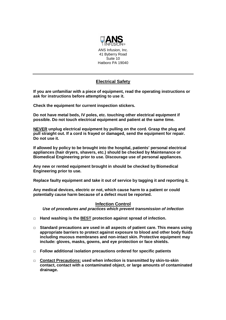

## **Electrical Safety**

**If you are unfamiliar with a piece of equipment, read the operating instructions or ask for instructions before attempting to use it.** 

**Check the equipment for current inspection stickers.** 

**Do not have metal beds, IV poles, etc. touching other electrical equipment if possible. Do not touch electrical equipment and patient at the same time.** 

**NEVER unplug electrical equipment by pulling on the cord. Grasp the plug and pull straight out. If a cord is frayed or damaged, send the equipment for repair. Do not use it.** 

**If allowed by policy to be brought into the hospital, patients' personal electrical appliances (hair dryers, shavers, etc.) should be checked by Maintenance or Biomedical Engineering prior to use. Discourage use of personal appliances.** 

**Any new or rented equipment brought in should be checked by Biomedical Engineering prior to use.** 

**Replace faulty equipment and take it out of service by tagging it and reporting it.** 

**Any medical devices, electric or not, which cause harm to a patient or could potentially cause harm because of a defect must be reported.** 

## **Infection Control**

**Use of procedures and practices which prevent transmission of infection** 

- □ **Hand washing is the BEST protection against spread of infection.**
- □ **Standard precautions are used in all aspects of patient care. This means using appropriate barriers to protect against exposure to blood and other body fluids including mucous membranes and non-intact skin. Protective equipment may include: gloves, masks, gowns, and eye protection or face shields.**
- □ **Follow additional isolation precautions ordered for specific patients**
- □ **Contact Precautions: used when infection is transmitted by skin-to-skin contact, contact with a contaminated object, or large amounts of contaminated drainage.**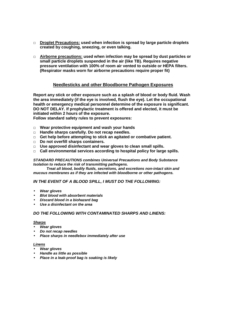- □ **Droplet Precautions: used when infection is spread by large particle droplets created by coughing, sneezing, or even talking.**
- □ **Airborne precautions: used when infection may be spread by dust particles or small particle droplets suspended in the air (like TB). Requires negative pressure ventilation with 100% of room air vented to outside or HEPA filters. (Respirator masks worn for airborne precautions require proper fit)**

## **Needlesticks and other Bloodborne Pathogen Exposures**

**Report any stick or other exposure such as a splash of blood or body fluid. Wash the area immediately (if the eye is involved, flush the eye). Let the occupational health or emergency medical personnel determine of the exposure is significant. DO NOT DELAY. If prophylactic treatment is offered and elected, it must be initiated within 2 hours of the exposure.** 

**Follow standard safety rules to prevent exposures:** 

- □ **Wear protective equipment and wash your hands**
- □ **Handle sharps carefully. Do not recap needles.**
- □ **Get help before attempting to stick an agitated or combative patient.**
- □ **Do not overfill sharps containers.**
- □ **Use approved disinfectant and wear gloves to clean small spills.**
- □ **Call environmental services according to hospital policy for large spills.**

#### **STANDARD PRECAUTIONS combines Universal Precautions and Body Substance Isolation to reduce the risk of transmitting pathogens.**

 **Treat all blood, bodily fluids, secretions, and excretions non-intact skin and mucous membranes as if they are infected with bloodborne or other pathogens.** 

**IN THE EVENT OF A BLOOD SPILL, I MUST DO THE FOLLOWING:** 

- **Wear gloves**
- **Blot blood with absorbent materials**
- **Discard blood in a biohazard bag**
- **Use a disinfectant on the area**

#### **DO THE FOLLOWING WITH CONTAMINATED SHARPS AND LINENS:**

#### **Sharps**

- **Wear gloves**
- **Do not recap needles**
- **Place sharps in needlebox immediately after use**

#### **Linens**

- **Wear gloves**
- **Handle as little as possible**
- **Place in a leak-proof bag is soaking is likely**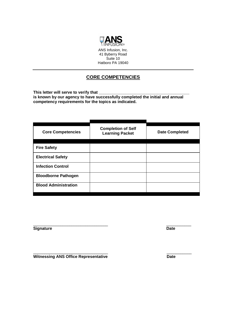

## **CORE COMPETENCIES**

This letter will serve to verify that \_ **is known by our agency to have successfully completed the initial and annual competency requirements for the topics as indicated.** 

| <b>Core Competencies</b>    | <b>Completion of Self</b><br><b>Learning Packet</b> | <b>Date Completed</b> |
|-----------------------------|-----------------------------------------------------|-----------------------|
|                             |                                                     |                       |
| <b>Fire Safety</b>          |                                                     |                       |
| <b>Electrical Safety</b>    |                                                     |                       |
| <b>Infection Control</b>    |                                                     |                       |
| <b>Bloodborne Pathogen</b>  |                                                     |                       |
| <b>Blood Administration</b> |                                                     |                       |
|                             |                                                     |                       |

\_\_\_\_\_\_\_\_\_\_\_\_\_\_\_\_\_\_\_\_\_\_\_\_\_\_\_\_\_\_\_\_\_ \_\_\_\_\_\_\_\_\_\_\_

**Signature** Date

\_\_\_\_\_\_\_\_\_\_\_\_\_\_\_\_\_\_\_\_\_\_\_\_\_\_\_\_\_\_\_\_\_ \_\_\_\_\_\_\_\_\_\_\_ **Witnessing ANS Office Representative Date CONTERNATE:**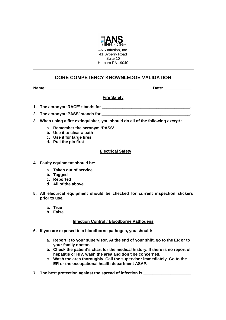

## **CORE COMPETENCY KNOWNLEDGE VALIDATION**

**Name: \_\_\_\_\_\_\_\_\_\_\_\_\_\_\_\_\_\_\_\_\_\_\_\_\_\_\_\_\_\_\_\_\_\_\_\_\_\_\_\_\_ Date: \_\_\_\_\_\_\_\_\_\_\_\_** 

**Fire Safety** 

- **1. The acronym 'RACE' stands for \_\_\_\_\_\_\_\_\_\_\_\_\_\_\_\_\_\_\_\_\_\_\_\_\_\_\_\_\_\_\_\_\_\_\_\_\_\_\_.**
- 2. The acronym 'PASS' stands for
- **3. When using a fire extinguisher, you should do all of the following except :** 
	- **a. Remember the acronym 'PASS'**
	- **b. Use it to clear a path**
	- **c. Use it for large fires**
	- **d. Pull the pin first**

#### **Electrical Safety**

- **4. Faulty equipment should be:** 
	- **a. Taken out of service**
	- **b. Tagged**
	- **c. Reported**
	- **d. All of the above**
- **5. All electrical equipment should be checked for current inspection stickers prior to use.** 
	- **a. True**
	- **b. False**

## **Infection Control / Bloodborne Pathogens**

- **6. If you are exposed to a bloodborne pathogen, you should:** 
	- **a. Report it to your supervisor. At the end of your shift, go to the ER or to your family doctor.**
	- **b. Check the patient's chart for the medical history. If there is no report of hepatitis or HIV, wash the area and don't be concerned.**
	- **c. Wash the area thoroughly. Call the supervisor immediately. Go to the ER or the occupational health department ASAP.**
- **7. The best protection against the spread of infection is**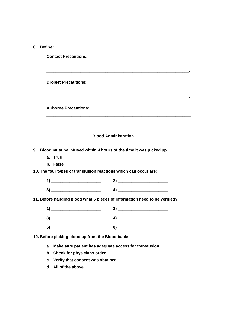**Contact Precautions:** 

|          | <b>Droplet Precautions:</b>                      |                                                                                                                                                                                                                              |
|----------|--------------------------------------------------|------------------------------------------------------------------------------------------------------------------------------------------------------------------------------------------------------------------------------|
|          | <b>Airborne Precautions:</b>                     |                                                                                                                                                                                                                              |
|          |                                                  | <u> 1989 - Johann John Stone, mars and deutscher Stone († 1989)</u><br><b>Blood Administration</b>                                                                                                                           |
|          |                                                  | 9. Blood must be infused within 4 hours of the time it was picked up.                                                                                                                                                        |
|          | a. True                                          |                                                                                                                                                                                                                              |
|          | b. False                                         |                                                                                                                                                                                                                              |
|          |                                                  | 10. The four types of transfusion reactions which can occur are:                                                                                                                                                             |
|          | $\overline{1}$ $\overline{\phantom{1}}$          |                                                                                                                                                                                                                              |
|          |                                                  | $3)$ and $4)$ and $4)$ and $4)$ and $4)$ and $4)$ and $4)$ and $4)$ and $4)$ and $4)$ and $4)$ and $4)$ and $4)$ and $4)$ and $4)$ and $4)$ and $4)$ and $4)$ and $4)$ and $4)$ and $4)$ and $4)$ and $4)$ and $4)$ and $4)$ |
|          |                                                  | 11. Before hanging blood what 6 pieces of information need to be verified?                                                                                                                                                   |
|          | $\overline{1}$ $\overline{\phantom{1}}$          |                                                                                                                                                                                                                              |
|          |                                                  |                                                                                                                                                                                                                              |
|          |                                                  | $\bullet) \qquad \qquad \overbrace{\qquad \qquad }$                                                                                                                                                                          |
|          | 12. Before picking blood up from the Blood bank: |                                                                                                                                                                                                                              |
|          |                                                  |                                                                                                                                                                                                                              |
| а.<br>b. | Check for physicians order                       | Make sure patient has adequate access for transfusion                                                                                                                                                                        |
|          | c. Verify that consent was obtained              |                                                                                                                                                                                                                              |
|          |                                                  |                                                                                                                                                                                                                              |

**d. All of the above**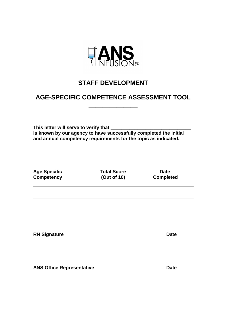

## **STAFF DEVELOPMENT**

## **AGE-SPECIFIC COMPETENCE ASSESSMENT TOOL**

**\_\_\_\_\_\_\_\_\_\_\_\_\_\_** 

**This letter will serve to verify that \_\_\_\_\_\_\_\_\_\_\_\_\_\_\_\_\_\_\_\_\_\_\_\_\_\_\_\_\_\_ is known by our agency to have successfully completed the initial and annual competency requirements for the topic as indicated.** 

Age Specific **Total Score** Date **Competency** (Out of 10) Completed

**\_\_\_\_\_\_\_\_\_\_\_\_\_\_\_\_\_\_\_\_\_\_\_\_ \_\_\_\_\_\_\_\_\_ RN Signature Date Contract Date Contract Act of Contract Act On the Date Only of Contract Act Only 0.000 Pate** 

**\_\_\_\_\_\_\_\_\_\_\_\_\_\_\_\_\_\_\_\_\_\_\_\_ \_\_\_\_\_\_\_\_\_ ANS Office Representative Date 2018**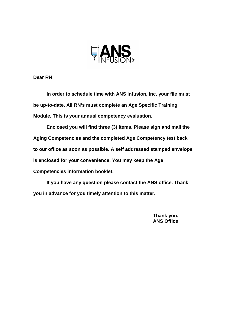

**Dear RN:** 

 **In order to schedule time with ANS Infusion, Inc. your file must be up-to-date. All RN's must complete an Age Specific Training Module. This is your annual competency evaluation.** 

 **Enclosed you will find three (3) items. Please sign and mail the Aging Competencies and the completed Age Competency test back to our office as soon as possible. A self addressed stamped envelope is enclosed for your convenience. You may keep the Age Competencies information booklet.** 

 **If you have any question please contact the ANS office. Thank you in advance for you timely attention to this matter.** 

> **Thank you, ANS Office**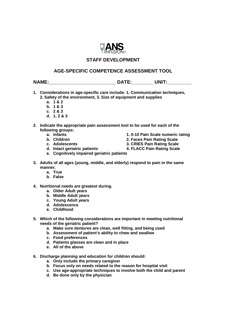

## **STAFF DEVELOPMENT**

## **AGE-SPECIFIC COMPETENCE ASSESSMENT TOOL**

**NAME:\_\_\_\_\_\_\_\_\_\_\_\_\_\_\_\_\_\_\_\_\_\_\_\_\_ DATE:\_\_\_\_\_\_\_\_ UNIT:\_\_\_\_\_\_\_\_\_** 

- **1. Considerations in age-specific care include: 1. Communication techniques, 2. Safety of the environment, 3. Size of equipment and supplies** 
	- **a. 1 & 2**
	- **b. 1 & 3**
	- **c. 2 & 3**
	- **d. 1, 2 & 3**
- **2. Indicate the appropriate pain assessment tool to be used for each of the following groups:** 
	-
	-
	-
	-
	- **a.** Infants **a. Infants** 1. 0-10 Pain Scale numeric rating **b.** Children **and Company** 2. Faces Pain Rating Scale
		- **2. Faces Pain Rating Scale**
	- **c. Adolescents 3. CRIES Pain Rating Scale**
	- **d. Intact geriatric patients 4. FLACC Pain Rating Scale**
	- **e. Cognitively impaired geriatric patients**
- **3. Adults of all ages (young, middle, and elderly) respond to pain in the same manner.** 
	- **a. True**
	- **b. False**
- **4. Nutritional needs are greatest during.** 
	- **a. Older Adult years**
	- **b. Middle Adult years**
	- **c. Young Adult years**
	- **d. Adolescence**
	- **e. Childhood**
- **5. Which of the following considerations are important in meeting nutritional needs of the geriatric patient?** 
	- **a. Make sure dentures are clean, well fitting, and being used**
	- **b. Assessment of patient's ability to chew and swallow**
	- **c. Food preferences**
	- **d. Patients glasses are clean and in place**
	- **e. All of the above**
- **6. Discharge planning and education for children should:** 
	- **a. Only include the primary caregiver**
	- **b. Focus only on needs related to the reason for hospital visit**
	- **c. Use age-appropriate techniques to involve both the child and parent**
	- **d. Be done only by the physician**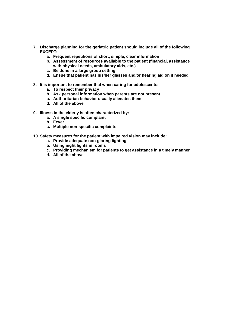- **7. Discharge planning for the geriatric patient should include all of the following EXCEPT:** 
	- **a. Frequent repetitions of short, simple, clear information**
	- **b. Assessment of resources available to the patient (financial, assistance with physical needs, ambulatory aids, etc.)**
	- **c. Be done in a large group setting**
	- **d. Ensue that patient has his/her glasses and/or hearing aid on if needed**
- **8. It is important to remember that when caring for adolescents:** 
	- **a. To respect their privacy**
	- **b. Ask personal information when parents are not present**
	- **c. Authoritarian behavior usually alienates them**
	- **d. All of the above**
- **9. Illness in the elderly is often characterized by:** 
	- **a. A single specific complaint**
	- **b. Fever**
	- **c. Multiple non-specific complaints**
- **10. Safety measures for the patient with impaired vision may include:** 
	- **a. Provide adequate non-glaring lighting**
	- **b. Using night lights in rooms**
	- **c. Providing mechanism for patients to get assistance in a timely manner**
	- **d. All of the above**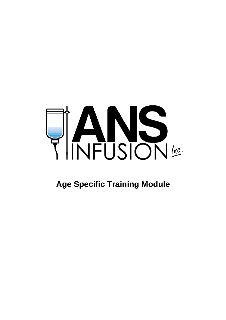

# **Age Specific Training Module**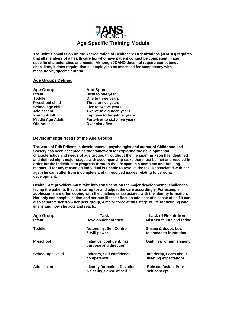

## **Age Specific Training Module**

**The Joint Commission on the Accreditation of Healthcare Organizations (JCAHO) requires that all members of a health care fax who have patient contact be competent in age specific characteristics and needs. Although JCAHO does not require competency checklists, it does require that all employees be assessed for competency with measurable, specific criteria.** 

#### **Age Groups Defined**

**Age Group**<br> **Age Span**<br> **Age Span**<br> **Age Span Infant Birth to one year<br>
Toddler Cone to three year Old Adult Over sixty-five** 

**One to three years Preschool child Three to five years School age child Five to twelve years Adolescent Twelve to eighteen years Young Adult Eighteen to forty-four years Middle Age Adult Forty-five to sixty-five years** 

#### **Developmental Needs of the Age Groups**

**The work of Erik Erikson, a developmental psychologist and author of Childhood and Society has been accepted as the framework for exploring the developmental characteristics and needs of age groups throughout the life span. Erikson has identified and defined eight major stages with accompanying tasks that must be met and resoled in order for the individual to progress through the life span in a complete and fulfilling manner. If for any reason an individual is unable to resolve the tasks associated with her age, she can suffer from incomplete and unresolved issues relating to personal development.** 

**Health Care providers must take into consideration the major developmental challenges facing the patients they are caring for and adjust the care accordingly. For example, adolescents are often coping with the challenges associated with the identity formation. Not only can hospitalization and serious illness affect an adolescent's sense of self it can also separate her from her peer group, a major force at this stage of life for defining who she is and how she acts and reacts.** 

| Task                                                | <b>Lack of Resolution</b>          |
|-----------------------------------------------------|------------------------------------|
| <b>Development of trust</b>                         | <b>Mistrust failure and thrive</b> |
| <b>Autonomy, Self Control</b>                       | Shame & doubt, Low                 |
| & will power                                        | tolerance to frustration           |
| Initiative, confident, has<br>purpose and direction | Guilt, fear of punishment          |
| Industry, Self confidence                           | Inferiority, Fears about           |
| competency                                          | meeting expectations               |
| <b>Identity formation, Devotion</b>                 | <b>Role confusion, Poor</b>        |
| & fidelity, Sense of self                           | self concept                       |
|                                                     |                                    |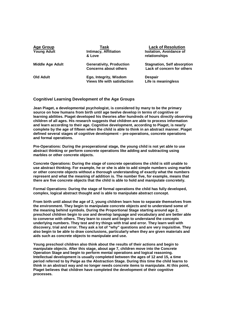| <b>Age Group</b><br><b>Young Adult</b> | Task<br><b>Intimacy, Affiliation</b><br>& Love                  | <b>Lack of Resolution</b><br><b>Isolation, Avoidance of</b><br>relationships |
|----------------------------------------|-----------------------------------------------------------------|------------------------------------------------------------------------------|
| <b>Middle Age Adult</b>                | <b>Generativity, Production</b><br><b>Concerns about others</b> | <b>Stagnation, Self absorption</b><br>Lack of concern for others             |
| <b>Old Adult</b>                       | Ego, Integrity, Wisdom<br><b>Views life with satisfaction</b>   | <b>Despair</b><br>Life is meaningless                                        |

#### **Cognitive/ Learning Development of the Age Groups**

**Jean Piaget, a developmental psychologist, is considered by many to be the primary source on how humans from birth until age twelve develop in terms of cognitive or learning abilities. Piaget developed his theories after hundreds of hours directly observing children of all ages. His research suggests that children are able to process information and learn according to their age. Cognitive development, according to Piaget, is nearly complete by the age of fifteen when the child is able to think in an abstract manner. Piaget defined several stages of cognitive development – pre-operations, concrete operations and formal operations.** 

**Pre-Operations: During the preoperational stage, the young child is not yet able to use abstract thinking or perform concrete operations like adding and subtracting using marbles or other concrete objects.** 

**Concrete Operations: During the stage of concrete operations the child is still unable to use abstract thinking. For example, he or she is able to add simple numbers using marble or other concrete objects without a thorough understanding of exactly what the numbers represent and what the meaning of addition is. The number five, for example, means that there are five concrete objects that the child is able to hold and manipulate concretely.** 

**Formal Operations: During the stage of formal operations the child has fully developed, complex, logical abstract thought and is able to manipulate abstract concept.** 

**From birth until about the age of 2, young children learn how to separate themselves from the environment. They begin to manipulate concrete objects and to understand some of the meaning behind symbols. During the Proportional Stage starting around age 2, preschool children begin to use and develop language and vocabulary and are better able to converse with others. They learn to count and begin to understand the concepts underlying numbers. They test and try things with trial and error. They learn well with discovery, trial and error. They ask a lot of "why" questions and are very inquisitive. They also begin to be able to draw conclusions, particularly when they are given materials and aids such as concrete objects to manipulate and use.** 

**Young preschool children also think about the results of their actions and begin to manipulate objects. After this stage, about age 7, children move into the Concrete Operation Stage and begin to perform mental operations and logical reasoning. Intellectual development is usually completed between the ages of 12 and 15, a time period referred to by Paige as the Abstraction Stage. During this time the child learns to think in an abstract way and no longer needs concrete items to manipulate. At this point, Piaget believes that children have completed the development of their cognitive processes.**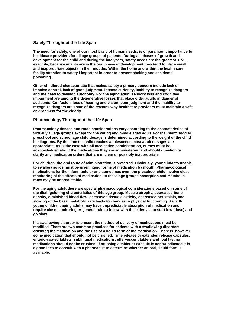#### **Safety Throughout the Life Span**

**The need for safety, one of our most basic of human needs, is of paramount importance to healthcare providers for all age groups of patients. During all phases of growth and development for the child and during the late years, safety needs are the greatest. For example, because infants are in the oral phase of development they tend to place small and inappropriate objects in their mouths. Within the home and within the health care facility attention to safety I important in order to prevent choking and accidental poisoning.** 

**Other childhood characteristic that makes safety a primary concern include lack of impulse control, lack of good judgment, intense curiosity, inability to recognize dangers and the need to develop autonomy. For the aging adult, sensory loss and cognitive impairment are among the degenerative losses that place older adults in danger of accidents. Confusion, loss of hearing and vision, poor judgment and the inability to recognize dangers are some of the reasons why healthcare providers must maintain a safe environment for the elderly.** 

#### **Pharmacology Throughout the Life Span**

**Pharmacology dosage and route considerations vary according to the characteristics of virtually all age groups except for the young and middle aged adult. For the infant, toddler, preschool and school age child dosage is determined according to the weight of the child in kilograms. By the time the child reaches adolescence most adult dosages are appropriate. As is the case with all medication administration, nurses must be acknowledged about the medications they are administering and should question or clarify any medication orders that are unclear or possibly inappropriate.** 

**For children, the oral route of administration is preferred. Obviously, young infants unable to swallow solids must be given liquid forms of medication by mouth. Pharmacological implications for the infant, toddler and sometimes even the preschool child involve close monitoring of the effects of medication. In these age groups absorption and metabolic rates may be unpredictable.** 

**For the aging adult there are special pharmacological considerations based on some of the distinguishing characteristics of this age group. Muscle atrophy, decreased bone density, diminished blood flow, decreased tissue elasticity, decreased peristalsis, and slowing of the basal metabolic rate leads to changes in physical functioning. As with young children, aging adults may have unpredictable absorption of medication and require close monitoring. A general rule to follow with the elderly is to start low (dose) and go slow.** 

**If a swallowing disorder is present the method of delivery of medications must be modified. There are two common practices for patients with a swallowing disorder; crushing the medication and the use of a liquid form of the medication. There is, however, some medication that should not be crushed. Time release or extended release capsules, enterio-coated tablets, sublingual medications, effervescent tablets and foul tasting medications should not be crushed. If crushing a tablet or capsule is contraindicated it is a good idea to consult with a pharmacist to determine whether an oral, liquid form is available.**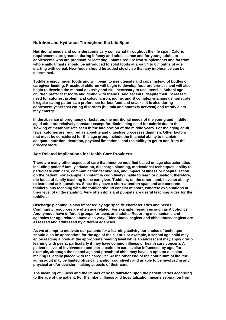#### **Nutrition and Hydration Throughout the Life Span**

**Nutritional needs and considerations vary somewhat throughout the life span. Caloric requirements are greatest during infancy and adolescence and for young adults or adolescents who are pregnant or lactating. Infants require iron supplements and fat from whole milk. Infants should be introduced to solid foods at about 4 to 6 months of age starting with cereal. New foods should be added slowly so that any intolerance can be determined.** 

**Toddlers enjoy finger foods and will begin to use utensils and cups instead of bottles or caregiver feeding. Preschool children will begin to develop food preferences and will also begin to develop the manual dexterity and skill necessary to use utensils. School age children prefer fast foods and dining with friends. Adolescents, despite their increased need for calories, protein, and calcium, iron, iodine, and B complex vitamins demonstrate irregular eating patterns, a preference for fast food and snacks. It is also during adolescent years that eating disorders (bulimia and anorexia nervosa) and trendy diets may emerge.** 

**In the absence of pregnancy or lactation, the nutritional needs of the young and middle aged adult are relatively constant except for diminishing need for calorie due to the slowing of metabolic rate seen in the late portion of the middle years. For the aging adult, fewer calories are required as appetite and digestive processes diminish. Other factors that must be considered for this age group include the financial ability to maintain adequate nutrition, dentition, physical limitations, and the ability to get to and from the grocery store.** 

#### **Age Related Implications for Health Care Providers**

**There are many other aspects of care that must be modified based on age characteristics including patient/ family education, discharge planning, motivational techniques, ability to participate with care, communication techniques, and impact of illness or hospitalization on the patient. For example, an infant is cognitively unable to learn or question, therefore, the focus of family teaching is the caregiver. Toddlers, on the other hand, have an ability to learn and ask questions. Since they have a short attention span and are concrete thinkers, any teaching with the toddler should consist of short, concrete explanations at their level of understanding. Very often dolls and puppets are useful teaching aides for the toddler.** 

**Discharge planning is also impacted by age specific characteristics and needs. Community resources are often age related. For example, resources such as Alcoholics Anonymous have different groups for teens and adults. Reporting mechanisms and agencies for age related abuse also vary. Elder abuse/ neglect and child abuse/ neglect are assessed and addressed by different agencies.** 

**As we attempt to motivate our patients for a learning activity our choice of technique should also be appropriate for the age of the client. For example, a school age child may enjoy reading a book at the appropriate reading level while an adolescent may enjoy group learning with peers, particularly if they have common illness or health care concern. A patient's level of involvement and participation in care is also influenced by age. For example, although the school age and preschool child may have an opinion decision making is legally placed with the caregiver. At the other end of the continuum of life, the aging adult may be limited physically and/or cognitively and unable to be involved in any physical and/or decision making aspects of their care.** 

**The meaning of illness and the impact of hospitalization upon the patient varies according to the age of the patient. For the infant, illness and hospitalization means separation from**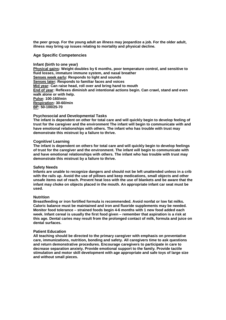**the peer group. For the young adult an illness may jeopardize a job. For the older adult, illness may bring up issues relating to mortality and physical decline.** 

#### **Age Specific Competencies**

#### **Infant (birth to one year)**

**Physical gains: Weight doubles by 6 months, poor temperature control, and sensitive to fluid losses, immature immune system, and nasal breather Senses week early: Responds to light and sounds Senses later: Responds to familiar faces and voices Mid year: Can raise head, roll over and bring hand to mouth End of year: Reflexes diminish and intentional actions begin. Can crawl, stand and even walk alone or with help. Pulse: 100-160/min Respiration: 30-60/min BP: 50-100/25-70** 

**Psychosocial and Developmental Tasks** 

**The infant is dependent on other for total care and will quickly begin to develop feeling of trust for the caregiver and the environment The infant will begin to communicate with and have emotional relationships with others. The infant who has trouble with trust may demonstrate this mistrust by a failure to thrive.** 

#### **Cognitive/ Learning**

**The infant is dependent on others for total care and will quickly begin to develop feelings of trust for the caregiver and the environment. The infant will begin to communicate with and have emotional relationships with others. The infant who has trouble with trust may demonstrate this mistrust by a failure to thrive.** 

#### **Safety Needs**

**Infants are unable to recognize dangers and should not be left unattended unless in a crib with the rails up. Avoid the use of pillows and keep medications, small objects and other unsafe items out of reach. Prevent heat loss with the use of blankets and be aware that the infant may choke on objects placed in the mouth. An appropriate infant car seat must be used.** 

#### **Nutrition**

**Breastfeeding or iron fortified formula is recommended. Avoid nonfat or low fat milks. Caloric balance must be maintained and iron and fluoride supplements may be needed. Monitor food tolerance – strained foods begin 4-6 months with 1 new food added each week. Infant cereal is usually the first food given – remember that aspiration is a risk at this age. Dental caries may result from the prolonged contact of milk, formula and juice on dental surfaces.** 

#### **Patient Education**

**All teaching should be directed to the primary caregiver with emphasis on preventative care, immunizations, nutrition, bonding and safety. All caregivers time to ask questions and return demonstrative procedures. Encourage caregivers to participate in care to decrease separation anxiety. Provide emotional support to the family. Provide tactile stimulation and motor skill development with age appropriate and safe toys of large size and without small pieces.**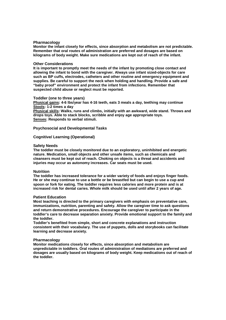#### **Pharmacology**

**Monitor the infant closely for effects, since absorption and metabolism are not predictable. Remember that oral routes of administration are preferred and dosages are based on kilograms of body weight. Make sure medications are kept out of reach of the infant.** 

#### **Other Considerations**

**It is important to promptly meet the needs of the infant by promoting close contact and allowing the infant to bond with the caregiver. Always use infant sized-objects for care such as BP cuffs, electrodes, catheters and other routine and emergency equipment and supplies. Be careful to support the neck when holding and handling. Provide a safe and "baby proof" environment and protect the infant from infections. Remember that suspected child abuse or neglect must be reported.** 

#### **Toddler (one to three years)**

**Physical gains: 4-6 lbs/year has 4-16 teeth, eats 3 meals a day, teething may continue Stools: 1-2 times a day** 

**Physical skills: Walks, runs and climbs, initially with an awkward, wide stand. Throws and drops toys. Able to stack blocks, scribble and enjoy age appropriate toys. Senses: Responds to verbal stimuli.** 

**Psychosocial and Developmental Tasks** 

#### **Cognitive/ Learning (Operational)**

#### **Safety Needs**

**The toddler must be closely monitored due to an exploratory, uninhibited and energetic nature. Medication, small objects and other unsafe items, such as chemicals and cleansers must be kept out of reach. Choking on objects is a threat and accidents and injuries may occur as autonomy increases. Car seats must be used.** 

#### **Nutrition**

**The toddler has increased tolerance for a wider variety of foods and enjoys finger foods. He or she may continue to use a bottle or be breastfed but can begin to use a cup and spoon or fork for eating. The toddler requires less calories and more protein and is at increased risk for dental caries. Whole milk should be used until after 2 years of age.** 

#### **Patient Education**

**Most teaching is directed to the primary caregivers with emphasis on preventative care, immunizations, nutrition, parenting and safety. Allow the caregiver time to ask questions and return demonstrative procedures. Encourage the caregiver to participate in the toddler's care to decrease separation anxiety. Provide emotional support to the family and the toddler.** 

**Toddler's benefited from simple, short and concrete explanations and instruction consistent with their vocabulary. The use of puppets, dolls and storybooks can facilitate learning and decrease anxiety.** 

#### **Pharmacology**

**Monitor medications closely for effects, since absorption and metabolism are unpredictable in toddlers. Oral routes of administration of mediations are preferred and dosages are usually based on kilograms of body weight. Keep medications out of reach of the toddler.**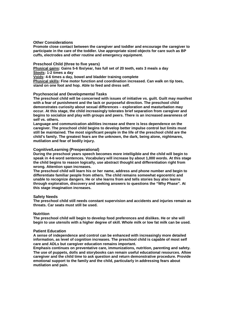#### **Other Considerations**

**Promote close contact between the caregiver and toddler and encourage the caregiver to participate in the care of the toddler. Use appropriate sized objects for care such as BP cuffs, electrodes and other routine and emergency equipment.** 

#### **Preschool Child (three to five years)**

**Physical gains: Gains 5-6 lbs/year, has full set of 20 teeth, eats 3 meals a day Stools: 1-2 times a day** 

**Voids: 4-6 times a day, bowel and bladder training complete** 

**Physical skills: Fine motor function and coordination increased. Can walk on tip toes, stand on one foot and hop. Able to feed and dress self.** 

#### **Psychosocial and Developmental Tasks**

**The preschool child will be concerned with issues of initiative vs. guilt. Guilt may manifest with a fear of punishment and the lack or purposeful direction. The preschool child demonstrates curiosity about sexual differences – exploration and masturbation may occur. At this stage, the child increasingly tolerates brief separation from caregiver and begins to socialize and play with groups and peers. There is an increased awareness of self vs. others.** 

**Language and communication abilities increase and there is less dependence on the caregiver. The preschool child begins to develop better impulse control but limits must still be maintained. The most significant people in the life of the preschool child are the child's family. The greatest fears are the unknown, the dark, being alone, nightmares, mutilation and fear of bodily injury.** 

#### **Cognitive/Learning (Preoperational)**

**During the preschool years speech becomes more intelligible and the child will begin to speak in 4-6 word sentences. Vocabulary will increase by about 1,000 words. At this stage the child begins to reason logically, use abstract thought and differentiation right from wrong. Attention span increases.** 

**The preschool child will learn his or her name, address and phone number and begin to differentiate familiar people from others. The child remains somewhat egocentric and unable to recognize dangers. He or she learns from and tells stories buy also learns through exploration, discovery and seeking answers to questions the "Why Phase". At this stage imagination increases.** 

#### **Safety Needs**

**The preschool child still needs constant supervision and accidents and injuries remain as threats. Car seats must still be used.** 

#### **Nutrition**

**The preschool child will begin to develop food preferences and dislikes. He or she will begin to use utensils with a higher degree of skill. Whole milk or low fat milk can be used.** 

#### **Patient Education**

**A sense of independence and control can be enhanced with increasingly more detailed information, as level of cognition increases. The preschool child is capable of most self care and ADLs but caregiver education remains important.** 

**Emphasis continues on preventative care, immunizations, nutrition, parenting and safety. The use of puppets, dolls and storybooks can remain useful educational resources. Allow caregiver and the child time to ask question and return demonstrative procedure. Provide emotional support to the family and the child, particularly in addressing fears about mutilation and pain.**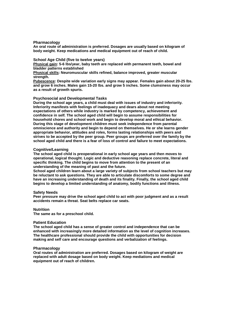**Pharmacology** 

**An oral route of administration is preferred. Dosages are usually based on kilogram of body weight. Keep medications and medical equipment out of reach of child.** 

#### **School Age Child (five to twelve years)**

**Physical gain: 5-6 lbs/year, baby teeth are replaced with permanent teeth, bowel and bladder patterns established** 

**Physical skills: Neuromuscular skills refined, balance improved, greater muscular strength.** 

**Pubescence: Despite wide variation early signs may appear. Females gain about 20-25 lbs. and grow 6 inches. Males gain 15-20 lbs. and grow 5 inches. Some clumsiness may occur as a result of growth spurts.** 

#### **Psychosocial and Developmental Tasks**

**During the school age years, a child must deal with issues of industry and inferiority. Inferiority manifests with feelings of inadequacy and dears about not meeting expectations of others while industry is marked by competency, achievement and confidence in self. The school aged child will begin to assume responsibilities for household chores and school work and begin to develop moral and ethical behavior. During this stage of development children must seek independence from parental omniscience and authority and begin to depend on themselves. He or she learns gender appropriate behavior, attitudes and roles, forms lasting relationships with peers and strives to be accepted by the peer group. Peer groups are preferred over the family by the school aged child and there is a fear of loss of control and failure to meet expectations.** 

#### **Cognitive/Learning**

**The school aged child is preoperational in early school age years and then moves to operational, logical thought. Logic and deductive reasoning replace concrete, literal and specific thinking. The child begins to move from attention to the present of an understanding of the meaning of past and the future.** 

**School aged children learn about a large variety of subjects from school teachers but may be reluctant to ask questions. They are able to articulate discomforts to some degree and have an increasing understanding of death and its finality. Finally, the school aged child begins to develop a limited understanding of anatomy, bodily functions and illness.** 

#### **Safety Needs**

**Peer pressure may drive the school aged child to act with poor judgment and as a result accidents remain a threat. Seat belts replace car seats.** 

#### **Nutrition**

**The same as for a preschool child.** 

#### **Patient Education**

**The school aged child has a sense of greater control and independence that can be enhanced with increasingly more detailed information as the level of cognition increases. The healthcare professional should provide the child with opportunities for decision making and self care and encourage questions and verbalization of feelings.** 

#### **Pharmacology**

**Oral routes of administration are preferred. Dosages based on kilogram of weight are replaced with adult dosage based on body weight. Keep mediations and medical equipment out of reach of children.**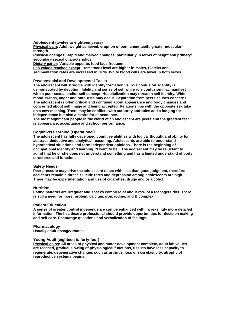**Adolescent (twelve to eighteen years)** 

**Physical gain: Adult weight achieved, eruption of permanent teeth, greater muscular strength** 

**Physical changes: Rapid and marked changes, particularly in terms of height and primary/ secondary sexual characteristics.** 

**Dietary patter: Variable appetite, food fads frequent** 

**Lab values reached except: Hematocrit level are higher in males, Platelet and sedimentation rates are increased in Girls. White blood cells are lower in both sexes.** 

#### **Psychosocial and Developmental Tasks**

**The adolescent will struggle with identity formation vs. role confusion. Identity is demonstrated by devotion, fidelity and sense of self while role confusion may manifest with a poor sexual and/or self concept. Hospitalization may threaten self identity. Wide mood swings, anger and outbursts may occur. Separation from peers causes concerns. The adolescent is often critical and confused about appearance and body changes and concerned about self image and being accepted. Relationships with the opposite sex take on a new meaning, There may be conflicts with authority and rules and a longing for independence but also a desire for dependence.** 

**The most significant people in the world of an adolescent are peers and the greatest fear is appearance, acceptance and school performance.** 

#### **Cognitive/ Learning (Operational)**

**The adolescent has fully developed cognitive abilities with logical thought and ability for abstract, deductive and analytical reasoning. Adolescents are able to understand hypothetical situations and form independent opinions. There is the beginning of occupational identity and learning, "I want to be." The adolescent may be reluctant to admit that he or she does not understand something and has a limited understand of body structures and functions.** 

#### **Safety Needs**

**Peer pressure may drive the adolescent to act with less than good judgment, therefore accidents remain a threat. Suicide rates and depression among adolescents are high. There may be experimentation and use of cigarettes, drugs and/or alcohol.** 

#### **Nutrition**

**Eating patterns are irregular and snacks comprise of about 25% of a teenagers diet. There is still a need for more: protein, calcium, iron, iodine, and B complex.** 

#### **Patient Education**

**A sense of greater control independence can be enhanced with increasingly more detailed information. The healthcare professional should provide opportunities for decision making and self care. Encourage questions and verbalization of feelings.** 

#### **Pharmacology**

**Usually adult dosage/ routes.** 

#### **Young Adult (eighteen to forty-four)**

**Physical gains: All areas of physical and motor development complete, adult lab values are reached, gradual slowing of physiological functions, tissues have less capacity to regenerate, degenerative changes such as arthritis, loss of skin elasticity, atrophy of reproductive systems begins.**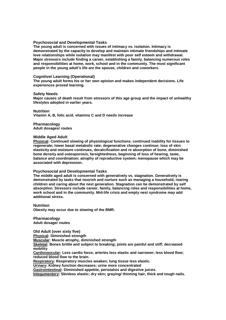#### **Psychosocial and Developmental Tasks**

**The young adult is concerned with issues of intimacy vs. isolation. Intimacy is demonstrated by the capacity to develop and maintain intimate friendships and intimate love relationships while isolation may manifest with poor self esteem and withdrawal. Major stressors include finding a career, establishing a family, balancing numerous roles and responsibilities at home, work, school and in the community. The most significant people in the young adult's life are the spouse, children and coworkers.** 

#### **Cognitive/ Learning (Operational)**

**The young adult forms his or her own opinion and makes independent decisions. Life experiences proved learning.** 

#### **Safety Needs**

**Major causes of death result from stressors of this age group and the impact of unhealthy lifestyles adopted in earlier years.** 

**Nutrition** 

**Vitamin A, B, folic acid, vitamins C and D needs increase** 

**Pharmacology Adult dosages/ routes** 

#### **Middle Aged Adult**

**Physical: Continued slowing of physiological functions; continued inability for tissues to regenerate; lower basal metabolic rate; degenerative changes continue; loss of skin elasticity and moisture continues, decalcification and re absorption of bone, diminished bone density and osteoporosis, farsightedness, beginning of loss of hearing, taste, balance and coordination; atrophy of reproductive system; menopause which may be associated with depression.** 

#### **Psychosocial and Developmental Tasks**

**The middle aged adult is concerned with generatively vs. stagnation. Generatively is demonstrated by tasks that nourish and nurture such as managing a household, rearing children and caring about the next generation. Stagnation can be demonstrated by self absorption. Stressors include career, family, balancing roles and responsibilities at home, work school and in the community. Mid-life crisis and empty nest syndrome may add additional stress.** 

**Nutrition Obesity may occur due to slowing of the BMR.** 

**Pharmacology Adult dosage/ routes** 

**Old Adult (over sixty five) Physical: Diminished strength Muscular: Muscle atrophy, diminished strength Skeletal: Bones brittle and subject to breaking; joints are painful and stiff; decreased mobility Cardiovascular: Less cardio force, arteries less elastic and narrower; less blood flow; reduced blood flow to the brain. Respiratory: Respiratory muscles weaken; lung tissue less elastic. Urinary: Kidney function decreases; urine more concentrated** 

**Gastrointestinal: Diminished appetite, peristalsis and digestive juices.** 

**Integumentery: Skinless elastic; dry skin; graying/ thinning hair, thick and tough nails.**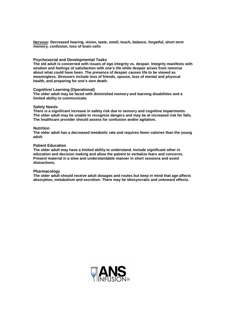**Nervous: Decreased hearing, vision, taste, smell, touch, balance, forgetful, short term memory, confusion, loss of brain cells** 

#### **Psychosocial and Developmental Tasks**

**The old adult is concerned with issues of ego integrity vs. despair. Integrity manifests with wisdom and feelings of satisfaction with one's life while despair arises from remorse about what could have been. The presence of despair causes life to be viewed as meaningless. Stressors include loss of friends, spouse, loss of mental and physical health, and preparing for one's own death.** 

#### **Cognitive/ Learning (Operational)**

**The older adult may be faced with diminished memory and learning disabilities and a limited ability to communicate.** 

#### **Safety Needs**

**There is a significant increase in safety risk due to sensory and cognitive impairments. The older adult may be unable to recognize dangers and may be at increased risk for falls. The healthcare provider should assess for confusion and/or agitation.** 

#### **Nutrition**

**The older adult has a decreased metabolic rate and requires fewer calories than the young adult.** 

#### **Patient Education**

**The older adult may have a limited ability to understand. Include significant other in education and decision making and allow the patient to verbalize fears and concerns. Present material in a slow and understandable manner in short sessions and avoid distractions.** 

#### **Pharmacology**

**The older adult should receive adult dosages and routes but keep in mind that age affects absorption, metabolism and excretion. There may be idiosyncratic and untoward effects.** 

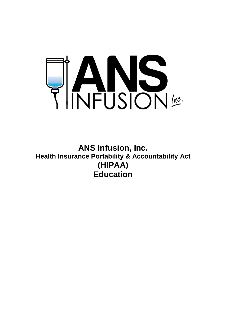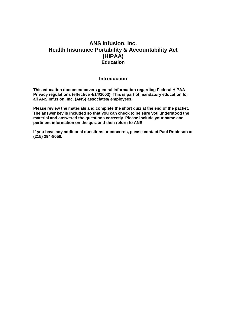## **Introduction**

**This education document covers general information regarding Federal HIPAA Privacy regulations (effective 4/14/2003). This is part of mandatory education for all ANS Infusion, Inc. (ANS) associates/ employees.**

**Please review the materials and complete the short quiz at the end of the packet. The answer key is included so that you can check to be sure you understood the material and answered the questions correctly. Please include your name and pertinent information on the quiz and then return to ANS.** 

**If you have any additional questions or concerns, please contact Paul Robinson at (215) 394-8058.**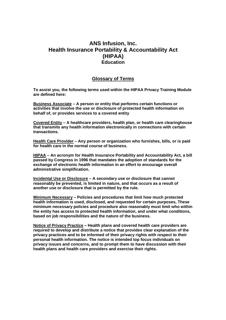## **Glossary of Terms**

**To assist you, the following terms used within the HIPAA Privacy Training Module are defined here:** 

**Business Associate – A person or entity that performs certain functions or activities that involve the use or disclosure of protected health information on behalf of, or provides services to a covered entity**

**Covered Entity – A healthcare providers, health plan, or health care clearinghouse that transmits any health information electronically in connections with certain transactions.** 

**Health Care Provider – Any person or organization who furnishes, bills, or is paid for health care in the normal course of business.** 

**HIPAA – An acronym for Health Insurance Portability and Accountability Act, a bill passed by Congress in 1996 that mandates the adoption of standards for the exchange of electronic health information in an effort to encourage overall administrative simplification.** 

**Incidental Use or Disclosure – A secondary use or disclosure that cannot reasonably be prevented, is limited in nature, and that occurs as a result of another use or disclosure that is permitted by the rule.** 

**Minimum Necessary – Policies and procedures that limit how much protected health information is used, disclosed, and requested for certain purposes, These minimum necessary policies and procedure also reasonably must limit who within the entity has access to protected health information, and under what conditions, based on job responsibilities and the nature of the business.** 

**Notice of Privacy Practice – Health plans and covered health care providers are required to develop and distribute a notice that provides clear explanation of the privacy practices and to be informed of their privacy rights with respect to their personal health information. The notice is intended top focus individuals on privacy issues and concerns, and to prompt them to have discussion with their health plans and health care providers and exercise their rights.**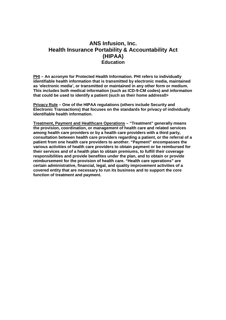**PHI – An acronym for Protected Health Information. PHI refers to individually identifiable health information that is transmitted by electronic media, maintained as 'electronic media', or transmitted or maintained in any other form or medium. This includes both medical information (such as ICD-9-CM codes) and information that could be used to identify a patient (such as their home address0>** 

**Privacy Rule – One of the HIPAA regulations (others include Security and Electronic Transactions) that focuses on the standards for privacy of individually identifiable health information.** 

**Treatment, Payment and Healthcare Operations – "Treatment" generally means the provision, coordination, or management of health care and related services among health care providers or by a health care providers with a third party, consultation between health care providers regarding a patient, or the referral of a patient from one health care providers to another. "Payment" encompasses the various activities of health care providers to obtain payment or be reimbursed for their services and of a health plan to obtain premiums, to fulfill their coverage responsibilities and provide benefites under the plan, and to obtain or provide reimbursement for the provision of health care. "Health care operations" are certain administrative, financial, legal, and quality improvement activities of a covered entity that are necessary to run its business and to support the core function of treatment and payment.**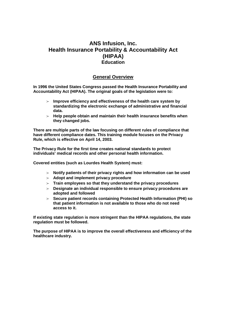## **General Overview**

**In 1996 the United States Congress passed the Health Insurance Portability and Accountability Act (HIPAA). The original goals of the legislation were to:** 

- $\triangleright$  Improve efficiency and effectiveness of the health care system by **standardizing the electronic exchange of administrative and financial data.**
- $\triangleright$  Help people obtain and maintain their health insurance benefits when **they changed jobs.**

**There are multiple parts of the law focusing on different rules of compliance that have different compliance dates. This training module focuses on the Privacy Rule, which is effective on April 14, 2003.** 

**The Privacy Rule for the first time creates national standards to protect individuals' medical records and other personal health information.** 

**Covered entities (such as Lourdes Health System) must:** 

- $\epsilon$  **Notify patients of their privacy rights and how information can be used**
- f **Adopt and implement privacy procedure**
- $\epsilon$  **Train employees so that they understand the privacy procedures**
- $\triangleright$  Designate an individual responsible to ensure privacy procedures are **adopted and followed**
- f **Secure patient records containing Protected Health Information (PHI) so that patient information is not available to those who do not need access to it.**

**If existing state regulation is more stringent than the HIPAA regulations, the state regulation must be followed.** 

**The purpose of HIPAA is to improve the overall effectiveness and efficiency of the healthcare industry.**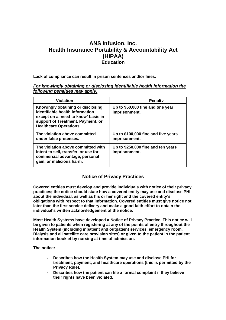**Lack of compliance can result in prison sentences and/or fines.** 

#### **For knowingly obtaining or disclosing identifiable health information the following penalties may apply.**

| <b>Violation</b>                                                                                                                                                                  | <b>Penalty</b>                                       |
|-----------------------------------------------------------------------------------------------------------------------------------------------------------------------------------|------------------------------------------------------|
| Knowingly obtaining or disclosing<br>identifiable health information<br>except on a 'need to know' basis in<br>support of Treatment, Payment, or<br><b>Healthcare Operations.</b> | Up to \$50,000 fine and one year<br>imprisonment.    |
| The violation above committed<br>under false pretenses.                                                                                                                           | Up to \$100,000 fine and five years<br>imprisonment. |
| The violation above committed with<br>intent to sell, transfer, or use for<br>commercial advantage, personal<br>gain, or malicious harm.                                          | Up to \$250,000 fine and ten years<br>imprisonment.  |

## **Notice of Privacy Practices**

**Covered entities must develop and provide individuals with notice of their privacy practices; the notice should state how a covered entity may use and disclose PHI about the individual, as well as his or her right and the covered entity's obligations with respect to that information. Covered entities must give notice not later than the first service delivery and make a good faith effort to obtain the individual's written acknowledgement of the notice.**

**Most Health Systems have developed a Notice of Privacy Practice. This notice will be given to patients when registering at any of the points of entry throughout the Health System (including inpatient and outpatient services, emergency room, Dialysis and all satellite care provision sites) or given to the patient in the patient information booklet by nursing at time of admission.** 

**The notice:** 

- $\triangleright$  Describes how the Health System may use and disclose PHI for **treatment, payment, and healthcare operations (this is permitted by the Privacy Rule).**
- $\triangleright$  Describes how the patient can file a formal complaint if they believe **their rights have been violated.**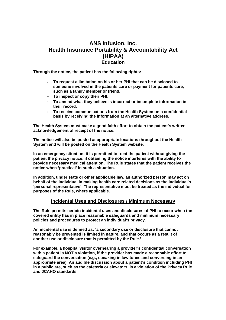**Through the notice, the patient has the following rights:** 

- $\triangleright$  To request a limitation on his or her PHI that can be disclosed to **someone involved in the patients care or payment for patients care, such as a family member or friend.**
- $\triangleright$  To inspect or copy their PHI.
- $\triangleright$  To amend what they believe is incorrect or incomplete information in **their record.**
- $\triangleright$  To receive communications from the Health System on a confidential **basis by receiving the information at an alternative address.**

**The Health System must make a good faith effort to obtain the patient's written acknowledgement of receipt of the notice.** 

**The notice will also be posted at appropriate locations throughout the Health System and will be posted on the Health System website.** 

**In an emergency situation, it is permitted to treat the patient without giving the patient the privacy notice, if obtaining the notice interferes with the ability to provide necessary medical attention. The Rule states that the patient receives the notice when 'practical' in such a situation.** 

**In addition, under state or other applicable law, an authorized person may act on behalf of the individual in making health care related decisions as the individual's 'personal representative'. The representative must be treated as the individual for purposes of the Rule, where applicable.** 

## **Incidental Uses and Disclosures / Minimum Necessary**

**The Rule permits certain incidental uses and disclosures of PHI to occur when the covered entity has in place reasonable safeguards and minimum necessary policies and procedures to protect an individual's privacy.** 

**An incidental use is defined as: 'a secondary use or disclosure that cannot reasonably be prevented is limited in nature, and that occurs as a result of another use or disclosure that is permitted by the Rule.'** 

**For example, a hospital visitor overhearing a provider's confidential conversation with a patient is NOT a violation, if the provider has made a reasonable effort to safeguard the conversation (e.g., speaking in low tones and conversing in an appropriate area). An audible discussion about a patient's condition including PHI in a public are, such as the cafeteria or elevators, is a violation of the Privacy Rule and JCAHO standards.**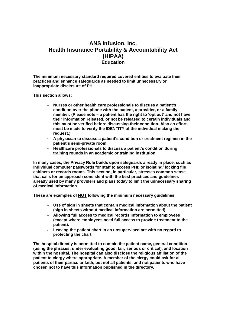**The minimum necessary standard required covered entities to evaluate their practices and enhance safeguards as needed to limit unnecessary or inappropriate disclosure of PHI.** 

**This section allows:** 

- $\triangleright$  Nurses or other health care professionals to discuss a patient's **condition over the phone with the patient, a provider, or a family member. (Please note – a patient has the right to 'opt out' and not have their information released, or not be released to certain individuals and this must be verified before discussing their condition. Also an effort must be made to verify the IDENTITY of the individual making the request.)**
- $\triangleright$  A physician to discuss a patient's condition or treatment regimen in the **patient's semi-private room.**
- $\triangleright$  Healthcare professionals to discuss a patient's condition during **training rounds in an academic or training institution.**

**In many cases, the Privacy Rule builds upon safeguards already in place, such as individual computer passwords for staff to access PHI; or isolating/ locking file cabinets or records rooms. This section, in particular, stresses common sense that calls for an approach consistent with the best practices and guidelines already used by many providers and plans today to limit the unnecessary sharing of medical information.** 

**These are examples of NOT following the minimum necessary guidelines:** 

- $\blacktriangleright$  Use of sign in sheets that contain medical information about the patient **(sign in sheets without medical information are permitted).**
- $\triangleright$  Allowing full access to medical records information to employees **(except where employees need full access to provide treatment to the patient).**
- $\triangleright$  Leaving the patient chart in an unsupervised are with no regard to **protecting the chart.**

**The hospital directly is permitted to contain the patient name, general condition (using the phrases; under evaluating good, fair, serious or critical), and location within the hospital. The hospital can also disclose the religious affiliation of the patient to clergy where appropriate. A member of the clergy could ask for all patients of their particular faith, but not all patients, and not patients who have chosen not to have this information published in the directory.**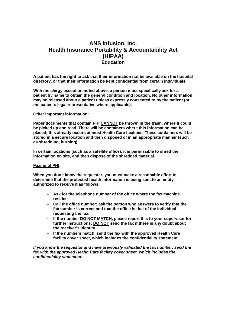**A patient has the right to ask that their information not be available on the hospital directory, or that their information be kept confidential from certain individuals.** 

**With the clergy exception noted above, a person must specifically ask for a patient by name to obtain the general condition and location. No other information may be released about a patient unless expressly consented to by the patient (or the patients legal representative where applicable).** 

**Other important information:** 

**Paper documents that contain PHI CANNOT be thrown in the trash, where it could be picked up and read. There will be containers where this information can be placed; this already occurs at most Health Care facilities. These containers will be stored in a secure location and then disposed of in an appropriate manner (such as shredding, burning).** 

**In certain locations (such as a satellite office), it is permissible to shred the information on site, and then dispose of the shredded material.** 

#### **Faxing of PHI:**

**When you don't know the requester, you must make a reasonable effort to determine that the protected health information is being sent to an entity authorized to receive it as follows:** 

- $\epsilon$  **Ask for the telephone number of the office where the fax machine resides.**
- $\epsilon$  Call the office number; ask the person who answers to verify that the **fax number is correct and that the office is that of the individual requesting the fax.**
- $\geq$  If the number DO NOT MATCH, please report this to your supervisor for **further instructions; DO NOT send the fax if there is any doubt about the receiver's identity.**
- $\geq$  If the numbers match, send the fax with the approved Health Care **facility cover sheet, which includes the confidentiality statement.**

**If you know the requestor and have previously validated the fax number, send the fax with the approved Health Care facility cover sheet, which includes the confidentiality statement.**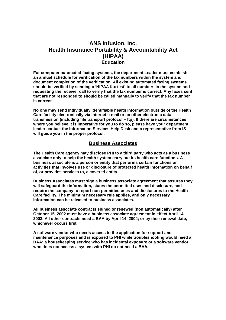**For computer automated faxing systems, the department Leader must establish an annual schedule for verification of the fax numbers within the system and document completion of the verification. All existing automated faxing systems should be verified by sending a 'HIPAA fax test' to all numbers in the system and requesting the receiver call to verify that the fax number is correct. Any faxes sent that are not responded to should be called manually to verify that the fax number is correct.** 

**No one may send individually identifiable health information outside of the Health Care facility electronically via internet e-mail or an other electronic data transmission (including file transport protocol – ftp). If there are circumstances where you believe it is imperative for you to do so, please have your department leader contact the Information Services Help Desk and a representative from IS will guide you in the proper protocol.** 

## **Business Associates**

**The Health Care agency may disclose PHI to a third party who acts as a business associate only to help the health system carry out its health care functions. A business associate is a person or entity that performs certain functions or activities that involves use or disclosure of protected health information on behalf of, or provides services to, a covered entity.** 

**Business Associates must sign a business associate agreement that assures they will safeguard the information, states the permitted uses and disclosure, and require the company to report non-permitted uses and disclosures to the Health Care facility. The minimum necessary rule applies, and only necessary information can be released to business associates.**

**All business associate contracts signed or renewed (non automatically) after October 15, 2002 must have a business associate agreement in effect April 14, 2003. All other contracts need a BAA by April 14, 2004; or by their renewal date, whichever occurs first.** 

**A software vendor who needs access to the application for support and maintenance purposes and is exposed to PHI while troubleshooting would need a BAA; a housekeeping service who has incidental exposure or a software vendor who does not access a system with PHI do not need a BAA.**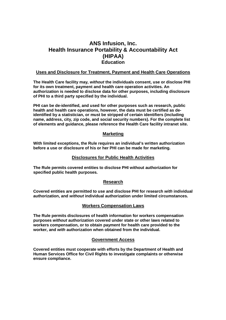## **Uses and Disclosure for Treatment, Payment and Health Care Operations**

**The Health Care facility may, without the individuals consent, use or disclose PHI for its own treatment, payment and health care operation activities. An authorization is needed to disclose data for other purposes, including disclosure of PHI to a third party specified by the individual.** 

**PHI can be de-identified, and used for other purposes such as research, public health and health care operations, however, the data must be certified as deidentified by a statistician, or must be stripped of certain identifiers (including name, address, city, zip code, and social security numbers). For the complete list of elements and guidance, please reference the Health Care facility intranet site.** 

## **Marketing**

**With limited exceptions, the Rule requires an individual's written authorization before a use or disclosure of his or her PHI can be made for marketing.** 

## **Disclosures for Public Health Activities**

**The Rule permits covered entities to disclose PHI without authorization for specified public health purposes.** 

## **Research**

**Covered entities are permitted to use and disclose PHI for research with individual authorization, and without individual authorization under limited circumstances.** 

## **Workers Compensation Laws**

**The Rule permits disclosures of health information for workers compensation purposes without authorization covered under state or other laws related to workers compensation, or to obtain payment for health care provided to the worker, and with authorization when obtained from the individual.** 

## **Government Access**

**Covered entities must cooperate with efforts by the Department of Health and Human Services Office for Civil Rights to investigate complaints or otherwise ensure compliance.**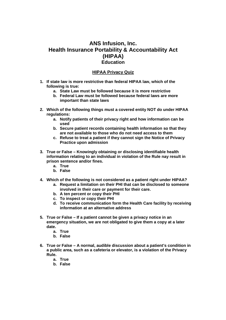#### **HIPAA Privacy Quiz**

- **1. If state law is more restrictive than federal HIPAA law, which of the following is true:** 
	- **a. State Law must be followed because it is more restrictive**
	- **b. Federal Law must be followed because federal laws are more important than state laws**
- **2. Which of the following things must a covered entity NOT do under HIPAA regulations:** 
	- **a. Notify patients of their privacy right and how information can be used**
	- **b. Secure patient records containing health information so that they are not available to those who do not need access to them**
	- **c. Refuse to treat a patient if they cannot sign the Notice of Privacy Practice upon admission**
- **3. True or False Knowingly obtaining or disclosing identifiable health information relating to an individual in violation of the Rule nay result in prison sentence and/or fines.** 
	- **a. True**
	- **b. False**
- **4. Which of the following is not considered as a patient right under HIPAA?** 
	- **a. Request a limitation on their PHI that can be disclosed to someone involved in their care or payment for their care.**
	- **b. A ten percent or copy their PHI**
	- **c. To inspect or copy their PHI**
	- **d. To receive communication form the Health Care facility by receiving information at an alternative address**
- **5. True or False If a patient cannot be given a privacy notice in an emergency situation, we are not obligated to give them a copy at a later date.** 
	- **a. True**
	- **b. False**
- **6. True or False A normal, audible discussion about a patient's condition in a public area, such as a cafeteria or elevator, is a violation of the Privacy Rule.** 
	- **a. True**
	- **b. False**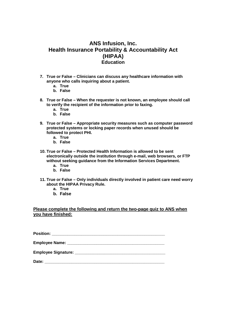- **7. True or False Clinicians can discuss any healthcare information with anyone who calls inquiring about a patient.** 
	- **a. True**
	- **b. False**
- **8. True or False When the requester is not known, an employee should call to verify the recipient of the information prior to faxing.** 
	- **a. True**
	- **b. False**
- **9. True or False Appropriate security measures such as computer password protected systems or locking paper records when unused should be followed to protect PHI.** 
	- **a. True**
	- **b. False**
- **10. True or False Protected Health Information is allowed to be sent electronically outside the institution through e-mail, web browsers, or FTP without seeking guidance from the Information Services Department.** 
	- **a. True**
	- **b. False**
- **11. True or False Only individuals directly involved in patient care need worry about the HIPAA Privacy Rule.** 
	- **a. True**
	- **b. False**

**Please complete the following and return the two-page quiz to ANS when you have finished:** 

**Position: \_\_\_\_\_\_\_\_\_\_\_\_\_\_\_\_\_\_\_\_\_\_\_\_\_\_\_\_\_\_\_\_\_\_\_\_\_\_\_\_\_\_\_\_\_\_\_\_\_\_** 

**Employee Name: \_\_\_\_\_\_\_\_\_\_\_\_\_\_\_\_\_\_\_\_\_\_\_\_\_\_\_\_\_\_\_\_\_\_\_\_\_\_\_\_\_\_\_** 

**Employee Signature: Employee Signature:** 

**Date: \_\_\_\_\_\_\_\_\_\_\_\_\_\_\_\_\_\_\_\_\_\_\_\_\_\_\_\_\_\_\_\_\_\_\_\_\_\_\_\_\_\_\_\_\_\_\_\_\_\_\_\_\_**